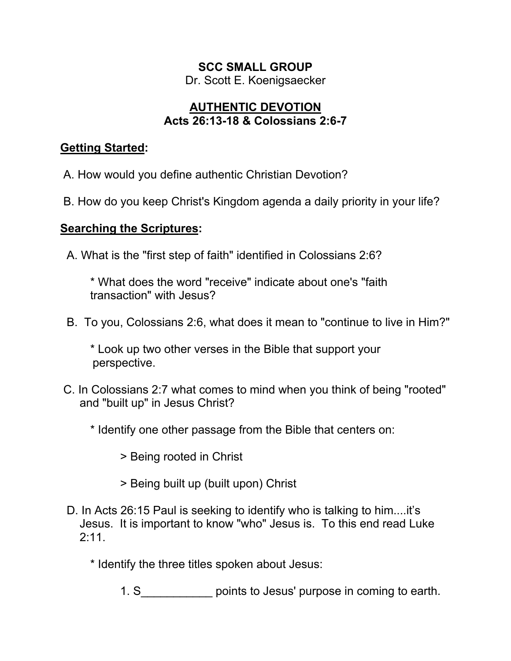#### **SCC SMALL GROUP**

Dr. Scott E. Koenigsaecker

# **AUTHENTIC DEVOTION Acts 26:13-18 & Colossians 2:6-7**

## **Getting Started:**

A. How would you define authentic Christian Devotion?

B. How do you keep Christ's Kingdom agenda a daily priority in your life?

# **Searching the Scriptures:**

A. What is the "first step of faith" identified in Colossians 2:6?

\* What does the word "receive" indicate about one's "faith transaction" with Jesus?

B. To you, Colossians 2:6, what does it mean to "continue to live in Him?"

\* Look up two other verses in the Bible that support your perspective.

C. In Colossians 2:7 what comes to mind when you think of being "rooted" and "built up" in Jesus Christ?

\* Identify one other passage from the Bible that centers on:

> Being rooted in Christ

- > Being built up (built upon) Christ
- D. In Acts 26:15 Paul is seeking to identify who is talking to him....it's Jesus. It is important to know "who" Jesus is. To this end read Luke 2:11.

\* Identify the three titles spoken about Jesus:

1. S The points to Jesus' purpose in coming to earth.